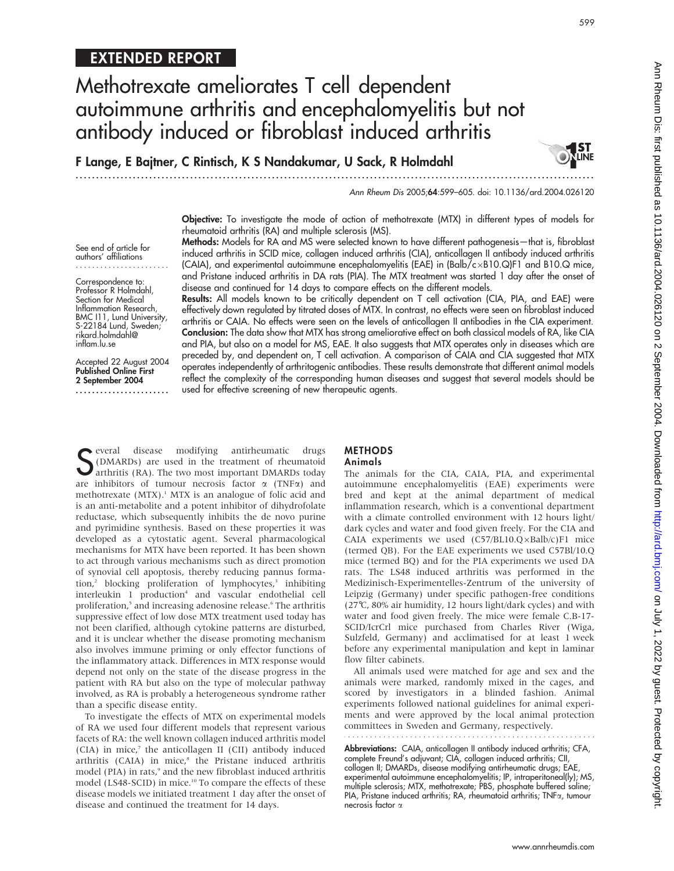# EXTENDED REPORT

# Methotrexate ameliorates T cell dependent autoimmune arthritis and encephalomyelitis but not antibody induced or fibroblast induced arthritis

F Lange, E Bajtner, C Rintisch, K S Nandakumar, U Sack, R Holmdahl

...............................................................................................................................

Ann Rheum Dis 2005;64:599–605. doi: 10.1136/ard.2004.026120

599

**LINE** 

Objective: To investigate the mode of action of methotrexate (MTX) in different types of models for rheumatoid arthritis (RA) and multiple sclerosis (MS).

See end of article for authors' affiliations .......................

Correspondence to: Professor R Holmdahl, Section for Medical Inflammation Research, BMC I11, Lund University, S-22184 Lund, Sweden; rikard.holmdahl@ inflam.lu.se

Accepted 22 August 2004 Published Online First 2 September 2004 .......................

Methods: Models for RA and MS were selected known to have different pathogenesis—that is, fibroblast induced arthritis in SCID mice, collagen induced arthritis (CIA), anticollagen II antibody induced arthritis (CAIA), and experimental autoimmune encephalomyelitis (EAE) in (Balb/c $\times$ B10.Q)F1 and B10.Q mice, and Pristane induced arthritis in DA rats (PIA). The MTX treatment was started 1 day after the onset of disease and continued for 14 days to compare effects on the different models.

Results: All models known to be critically dependent on T cell activation (CIA, PIA, and EAE) were effectively down regulated by titrated doses of MTX. In contrast, no effects were seen on fibroblast induced arthritis or CAIA. No effects were seen on the levels of anticollagen II antibodies in the CIA experiment. Conclusion: The data show that MTX has strong ameliorative effect on both classical models of RA, like CIA and PIA, but also on a model for MS, EAE. It also suggests that MTX operates only in diseases which are preceded by, and dependent on, T cell activation. A comparison of CAIA and CIA suggested that MTX operates independently of arthritogenic antibodies. These results demonstrate that different animal models reflect the complexity of the corresponding human diseases and suggest that several models should be used for effective screening of new therapeutic agents.

S everal disease modifying antirheumatic drugs<br>
(DMARDs) are used in the treatment of rheumatoid<br>
arthritis (RA). The two most important DMARDs today<br>
are inhibited as the temporary program factor of (TMFs) and (DMARDs) are used in the treatment of rheumatoid arthritis (RA). The two most important DMARDs today are inhibitors of tumour necrosis factor  $\alpha$  (TNF $\alpha$ ) and methotrexate (MTX).<sup>1</sup> MTX is an analogue of folic acid and is an anti-metabolite and a potent inhibitor of dihydrofolate reductase, which subsequently inhibits the de novo purine and pyrimidine synthesis. Based on these properties it was developed as a cytostatic agent. Several pharmacological mechanisms for MTX have been reported. It has been shown to act through various mechanisms such as direct promotion of synovial cell apoptosis, thereby reducing pannus formation,<sup>2</sup> blocking proliferation of lymphocytes,<sup>3</sup> inhibiting interleukin 1 production<sup>4</sup> and vascular endothelial cell proliferation,<sup>5</sup> and increasing adenosine release.<sup>6</sup> The arthritis suppressive effect of low dose MTX treatment used today has not been clarified, although cytokine patterns are disturbed, and it is unclear whether the disease promoting mechanism also involves immune priming or only effector functions of the inflammatory attack. Differences in MTX response would depend not only on the state of the disease progress in the patient with RA but also on the type of molecular pathway involved, as RA is probably a heterogeneous syndrome rather than a specific disease entity.

To investigate the effects of MTX on experimental models of RA we used four different models that represent various facets of RA: the well known collagen induced arthritis model (CIA) in mice,<sup>7</sup> the anticollagen II (CII) antibody induced arthritis (CAIA) in mice, $s$  the Pristane induced arthritis model (PIA) in rats,<sup>9</sup> and the new fibroblast induced arthritis model (LS48-SCID) in mice.<sup>10</sup> To compare the effects of these disease models we initiated treatment 1 day after the onset of disease and continued the treatment for 14 days.

#### METHODS Animals

The animals for the CIA, CAIA, PIA, and experimental autoimmune encephalomyelitis (EAE) experiments were bred and kept at the animal department of medical inflammation research, which is a conventional department with a climate controlled environment with 12 hours light/ dark cycles and water and food given freely. For the CIA and CAIA experiments we used  $(C57/BL10.Q\timesBalb/c)F1$  mice (termed QB). For the EAE experiments we used C57Bl/10.Q mice (termed BQ) and for the PIA experiments we used DA rats. The LS48 induced arthritis was performed in the Medizinisch-Experimentelles-Zentrum of the university of Leipzig (Germany) under specific pathogen-free conditions (27˚C, 80% air humidity, 12 hours light/dark cycles) and with water and food given freely. The mice were female C.B-17- SCID/IcrCrl mice purchased from Charles River (Wiga, Sulzfeld, Germany) and acclimatised for at least 1 week before any experimental manipulation and kept in laminar flow filter cabinets.

All animals used were matched for age and sex and the animals were marked, randomly mixed in the cages, and scored by investigators in a blinded fashion. Animal experiments followed national guidelines for animal experiments and were approved by the local animal protection committees in Sweden and Germany, respectively. 

**Abbreviations:** CAIA, anticollagen II antibody induced arthritis; CFA, complete Freund's adjuvant; CIA, collagen induced arthritis; CII, collagen II; DMARDs, disease modifying antirheumatic drugs; EAE, experimental autoimmune encephalomyelitis; IP, intraperitoneal(ly); MS, multiple sclerosis; MTX, methotrexate; PBS, phosphate buffered saline; PIA, Pristane induced arthritis; RA, rheumatoid arthritis; TNFa, tumour necrosis factor α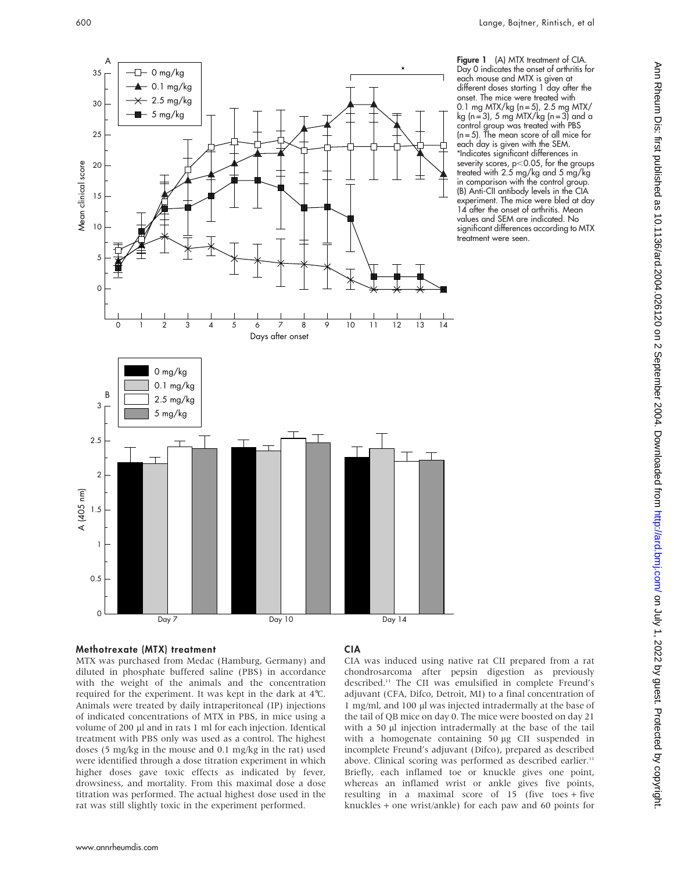

Figure 1 (A) MTX treatment of CIA. Day 0 indicates the onset of arthritis for each mouse and MTX is given at different doses starting 1 day after the onset. The mice were treated with 0.1 mg MTX/kg (n = 5), 2.5 mg MTX/ kg (n = 3), 5 mg MTX/kg (n = 3) and a control group was treated with PBS (n = 5). The mean score of all mice for each day is given with the SEM. \*Indicates significant differences in severity scores, p $<$ 0.05, for the groups treated with 2.5 mg/kg and 5 mg/kg in comparison with the control group. (B) Anti-CII antibody levels in the CIA experiment. The mice were bled at day 14 after the onset of arthritis. Mean values and SEM are indicated. No significant differences according to MTX treatment were seen.

#### Methotrexate (MTX) treatment

MTX was purchased from Medac (Hamburg, Germany) and diluted in phosphate buffered saline (PBS) in accordance with the weight of the animals and the concentration required for the experiment. It was kept in the dark at 4˚C. Animals were treated by daily intraperitoneal (IP) injections of indicated concentrations of MTX in PBS, in mice using a volume of 200 µl and in rats 1 ml for each injection. Identical treatment with PBS only was used as a control. The highest doses (5 mg/kg in the mouse and 0.1 mg/kg in the rat) used were identified through a dose titration experiment in which higher doses gave toxic effects as indicated by fever, drowsiness, and mortality. From this maximal dose a dose titration was performed. The actual highest dose used in the rat was still slightly toxic in the experiment performed.

# CIA

CIA was induced using native rat CII prepared from a rat chondrosarcoma after pepsin digestion as previously described.11 The CII was emulsified in complete Freund's adjuvant (CFA, Difco, Detroit, MI) to a final concentration of 1 mg/ml, and 100 µl was injected intradermally at the base of the tail of QB mice on day 0. The mice were boosted on day 21 with a 50 µl injection intradermally at the base of the tail with a homogenate containing  $50 \mu g$  CII suspended in incomplete Freund's adjuvant (Difco), prepared as described above. Clinical scoring was performed as described earlier.<sup>11</sup> Briefly, each inflamed toe or knuckle gives one point, whereas an inflamed wrist or ankle gives five points, resulting in a maximal score of 15 (five toes + five knuckles + one wrist/ankle) for each paw and 60 points for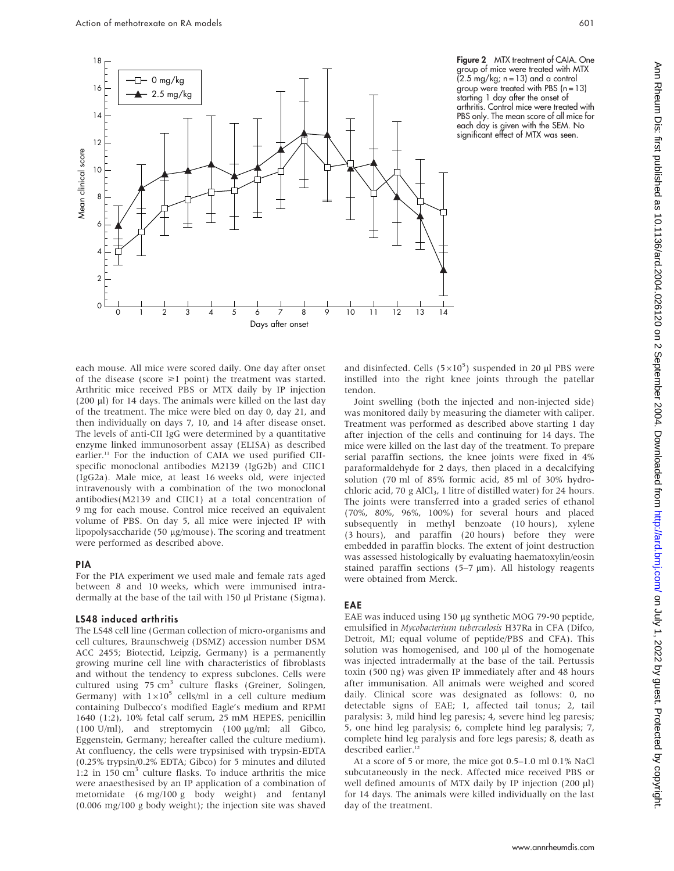

Figure 2 MTX treatment of CAIA. One group of mice were treated with MTX (2.5 mg/kg; n = 13) and a control group were treated with PBS (n = 13) starting 1 day after the onset of arthritis. Control mice were treated with PBS only. The mean score of all mice for each day is given with the SEM. No significant effect of MTX was seen.

each mouse. All mice were scored daily. One day after onset of the disease (score  $\geq 1$  point) the treatment was started. Arthritic mice received PBS or MTX daily by IP injection  $(200 \mu l)$  for 14 days. The animals were killed on the last day of the treatment. The mice were bled on day 0, day 21, and then individually on days 7, 10, and 14 after disease onset. The levels of anti-CII IgG were determined by a quantitative enzyme linked immunosorbent assay (ELISA) as described earlier.11 For the induction of CAIA we used purified CIIspecific monoclonal antibodies M2139 (IgG2b) and CIIC1 (IgG2a). Male mice, at least 16 weeks old, were injected intravenously with a combination of the two monoclonal antibodies(M2139 and CIIC1) at a total concentration of 9 mg for each mouse. Control mice received an equivalent volume of PBS. On day 5, all mice were injected IP with lipopolysaccharide (50 µg/mouse). The scoring and treatment were performed as described above.

# PIA

For the PIA experiment we used male and female rats aged between 8 and 10 weeks, which were immunised intradermally at the base of the tail with 150 µl Pristane (Sigma).

# LS48 induced arthritis

The LS48 cell line (German collection of micro-organisms and cell cultures, Braunschweig (DSMZ) accession number DSM ACC 2455; Biotectid, Leipzig, Germany) is a permanently growing murine cell line with characteristics of fibroblasts and without the tendency to express subclones. Cells were cultured using 75 cm<sup>3</sup> culture flasks (Greiner, Solingen, Germany) with  $1\times10^5$  cells/ml in a cell culture medium containing Dulbecco's modified Eagle's medium and RPMI 1640 (1:2), 10% fetal calf serum, 25 mM HEPES, penicillin (100 U/ml), and streptomycin (100  $\mu$ g/ml; all Gibco, Eggenstein, Germany; hereafter called the culture medium). At confluency, the cells were trypsinised with trypsin-EDTA (0.25% trypsin/0.2% EDTA; Gibco) for 5 minutes and diluted 1:2 in 150 cm<sup>3</sup> culture flasks. To induce arthritis the mice were anaesthesised by an IP application of a combination of metomidate (6 mg/100 g body weight) and fentanyl (0.006 mg/100 g body weight); the injection site was shaved

and disinfected. Cells  $(5\times10^5)$  suspended in 20 µl PBS were instilled into the right knee joints through the patellar tendon.

Joint swelling (both the injected and non-injected side) was monitored daily by measuring the diameter with caliper. Treatment was performed as described above starting 1 day after injection of the cells and continuing for 14 days. The mice were killed on the last day of the treatment. To prepare serial paraffin sections, the knee joints were fixed in 4% paraformaldehyde for 2 days, then placed in a decalcifying solution (70 ml of 85% formic acid, 85 ml of 30% hydrochloric acid, 70 g AlCl<sub>3</sub>, 1 litre of distilled water) for 24 hours. The joints were transferred into a graded series of ethanol (70%, 80%, 96%, 100%) for several hours and placed subsequently in methyl benzoate (10 hours), xylene (3 hours), and paraffin (20 hours) before they were embedded in paraffin blocks. The extent of joint destruction was assessed histologically by evaluating haematoxylin/eosin stained paraffin sections  $(5-7 \mu m)$ . All histology reagents were obtained from Merck.

# EAE

EAE was induced using 150 µg synthetic MOG 79-90 peptide, emulsified in Mycobacterium tuberculosis H37Ra in CFA (Difco, Detroit, MI; equal volume of peptide/PBS and CFA). This solution was homogenised, and  $100 \mu l$  of the homogenate was injected intradermally at the base of the tail. Pertussis toxin (500 ng) was given IP immediately after and 48 hours after immunisation. All animals were weighed and scored daily. Clinical score was designated as follows: 0, no detectable signs of EAE; 1, affected tail tonus; 2, tail paralysis: 3, mild hind leg paresis; 4, severe hind leg paresis; 5, one hind leg paralysis; 6, complete hind leg paralysis; 7, complete hind leg paralysis and fore legs paresis; 8, death as described earlier.<sup>1</sup>

At a score of 5 or more, the mice got 0.5–1.0 ml 0.1% NaCl subcutaneously in the neck. Affected mice received PBS or well defined amounts of MTX daily by IP injection  $(200 \mu l)$ for 14 days. The animals were killed individually on the last day of the treatment.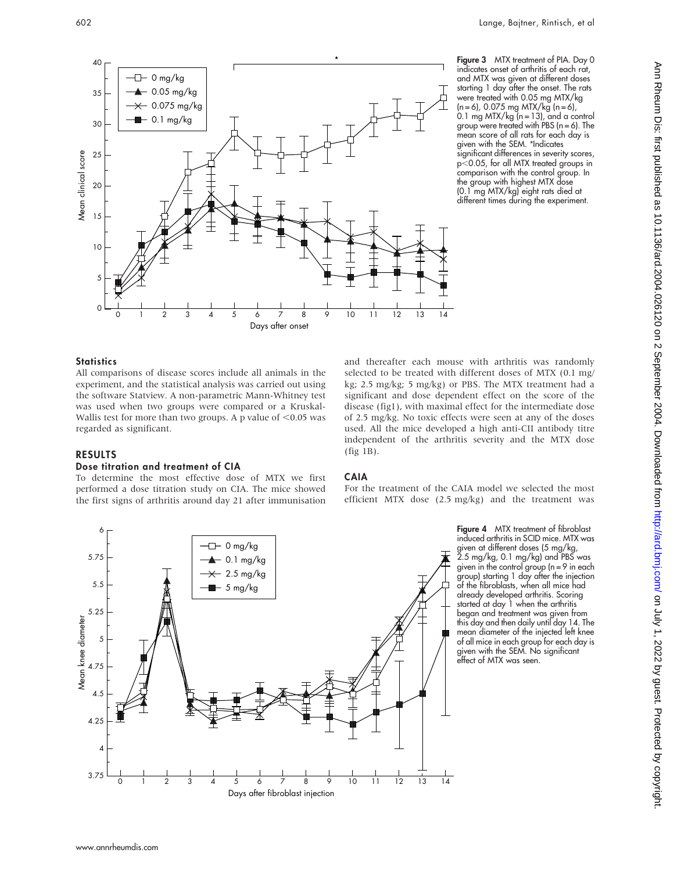

Figure 3 MTX treatment of PIA. Day 0 indicates onset of arthritis of each rat, and MTX was given at different doses starting 1 day after the onset. The rats were treated with 0.05 mg MTX/kg (n = 6), 0.075 mg MTX/kg (n = 6), 0.1 mg MTX/kg (n = 13), and a control group were treated with PBS (n = 6). The mean score of all rats for each day is given with the SEM. \*Indicates significant differences in severity scores, p<0.05, for all MTX treated groups in comparison with the control group. In the group with highest MTX dose (0.1 mg MTX/kg) eight rats died at different times during the experiment.

# **Statistics**

All comparisons of disease scores include all animals in the experiment, and the statistical analysis was carried out using the software Statview. A non-parametric Mann-Whitney test was used when two groups were compared or a Kruskal-Wallis test for more than two groups. A p value of  $<$  0.05 was regarded as significant.

# RESULTS

#### Dose titration and treatment of CIA

To determine the most effective dose of MTX we first performed a dose titration study on CIA. The mice showed the first signs of arthritis around day 21 after immunisation and thereafter each mouse with arthritis was randomly selected to be treated with different doses of MTX (0.1 mg/ kg; 2.5 mg/kg; 5 mg/kg) or PBS. The MTX treatment had a significant and dose dependent effect on the score of the disease (fig1), with maximal effect for the intermediate dose of 2.5 mg/kg. No toxic effects were seen at any of the doses used. All the mice developed a high anti-CII antibody titre independent of the arthritis severity and the MTX dose (fig 1B).

#### CAIA

For the treatment of the CAIA model we selected the most efficient MTX dose (2.5 mg/kg) and the treatment was



Figure 4 MTX treatment of fibroblast induced arthritis in SCID mice. MTX was given at different doses (5 mg/kg, 2.5 mg/kg, 0.1 mg/kg) and PBS was given in the control group (n = 9 in each group) starting 1 day after the injection of the fibroblasts, when all mice had already developed arthritis. Scoring started at day 1 when the arthritis began and treatment was given from this day and then daily until day 14. The mean diameter of the injected left knee of all mice in each group for each day is given with the SEM. No significant effect of MTX was seen.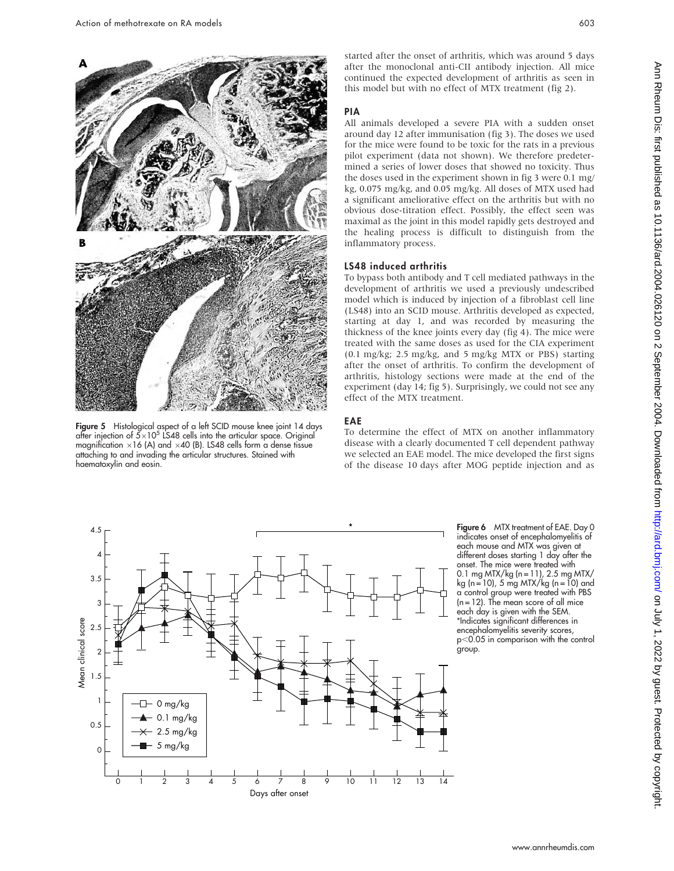

**Figure 5** Histological aspect of a left SCID mouse knee joint 14 days<br>after injection of 5×10<sup>5</sup> LS48 cells into the articular space. Original magnification  $\times$ 16 (A) and  $\times$ 40 (B). LS48 cells form a dense tissue attaching to and invading the articular structures. Stained with haematoxylin and eosin.

started after the onset of arthritis, which was around 5 days after the monoclonal anti-CII antibody injection. All mice continued the expected development of arthritis as seen in this model but with no effect of MTX treatment (fig 2).

# PIA

All animals developed a severe PIA with a sudden onset around day 12 after immunisation (fig 3). The doses we used for the mice were found to be toxic for the rats in a previous pilot experiment (data not shown). We therefore predetermined a series of lower doses that showed no toxicity. Thus the doses used in the experiment shown in fig 3 were 0.1 mg/ kg, 0.075 mg/kg, and 0.05 mg/kg. All doses of MTX used had a significant ameliorative effect on the arthritis but with no obvious dose-titration effect. Possibly, the effect seen was maximal as the joint in this model rapidly gets destroyed and the healing process is difficult to distinguish from the inflammatory process.

#### LS48 induced arthritis

To bypass both antibody and T cell mediated pathways in the development of arthritis we used a previously undescribed model which is induced by injection of a fibroblast cell line (LS48) into an SCID mouse. Arthritis developed as expected, starting at day 1, and was recorded by measuring the thickness of the knee joints every day (fig 4). The mice were treated with the same doses as used for the CIA experiment (0.1 mg/kg; 2.5 mg/kg, and 5 mg/kg MTX or PBS) starting after the onset of arthritis. To confirm the development of arthritis, histology sections were made at the end of the experiment (day 14; fig 5). Surprisingly, we could not see any effect of the MTX treatment.

# EAE

To determine the effect of MTX on another inflammatory disease with a clearly documented T cell dependent pathway we selected an EAE model. The mice developed the first signs of the disease 10 days after MOG peptide injection and as



Figure 6 MTX treatment of EAE. Day 0 indicates onset of encephalomyelitis of each mouse and MTX was given at different doses starting 1 day after the onset. The mice were treated with 0.1 mg MTX/kg (n = 11), 2.5 mg MTX/ kg (n = 10), 5 mg MTX/kg (n = 10) and a control group were treated with PBS (n = 12). The mean score of all mice each day is given with the SEM. \*Indicates significant differences in encephalomyelitis severity scores, p<0.05 in comparison with the control group.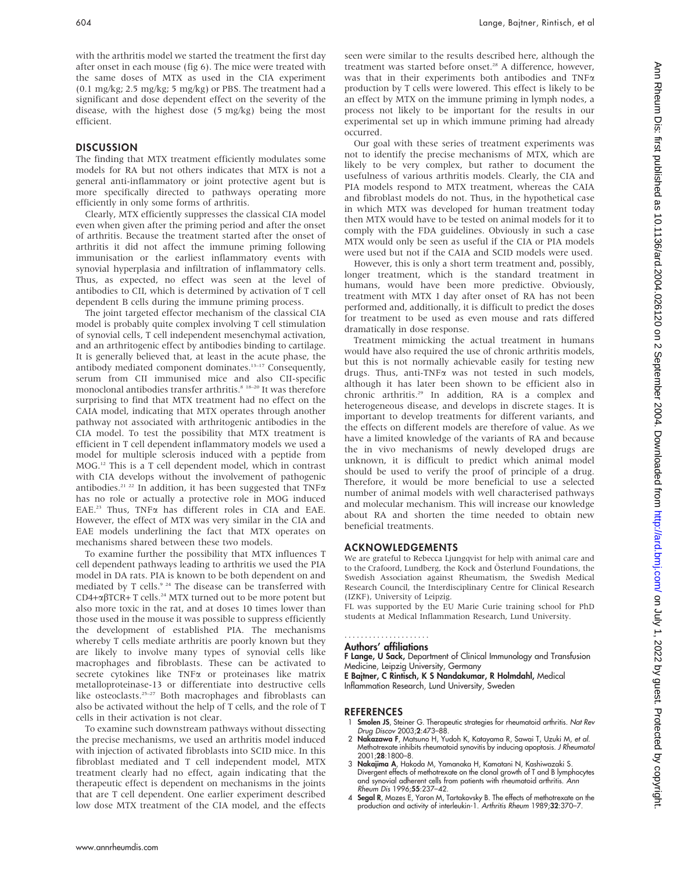604 Lange, Bajtner, Rintisch, et al

with the arthritis model we started the treatment the first day after onset in each mouse (fig 6). The mice were treated with the same doses of MTX as used in the CIA experiment  $(0.1 \text{ mg/kg}; 2.5 \text{ mg/kg}; 5 \text{ mg/kg})$  or PBS. The treatment had a significant and dose dependent effect on the severity of the disease, with the highest dose (5 mg/kg) being the most efficient.

# **DISCUSSION**

The finding that MTX treatment efficiently modulates some models for RA but not others indicates that MTX is not a general anti-inflammatory or joint protective agent but is more specifically directed to pathways operating more efficiently in only some forms of arthritis.

Clearly, MTX efficiently suppresses the classical CIA model even when given after the priming period and after the onset of arthritis. Because the treatment started after the onset of arthritis it did not affect the immune priming following immunisation or the earliest inflammatory events with synovial hyperplasia and infiltration of inflammatory cells. Thus, as expected, no effect was seen at the level of antibodies to CII, which is determined by activation of T cell dependent B cells during the immune priming process.

The joint targeted effector mechanism of the classical CIA model is probably quite complex involving T cell stimulation of synovial cells, T cell independent mesenchymal activation, and an arthritogenic effect by antibodies binding to cartilage. It is generally believed that, at least in the acute phase, the antibody mediated component dominates.<sup>13-17</sup> Consequently, serum from CII immunised mice and also CII-specific monoclonal antibodies transfer arthritis.<sup>8</sup> 18-20 It was therefore surprising to find that MTX treatment had no effect on the CAIA model, indicating that MTX operates through another pathway not associated with arthritogenic antibodies in the CIA model. To test the possibility that MTX treatment is efficient in T cell dependent inflammatory models we used a model for multiple sclerosis induced with a peptide from MOG.12 This is a T cell dependent model, which in contrast with CIA develops without the involvement of pathogenic antibodies.<sup>21 22</sup> In addition, it has been suggested that  $TNF\alpha$ has no role or actually a protective role in MOG induced EAE.<sup>23</sup> Thus, TNF $\alpha$  has different roles in CIA and EAE. However, the effect of MTX was very similar in the CIA and EAE models underlining the fact that MTX operates on mechanisms shared between these two models.

To examine further the possibility that MTX influences T cell dependent pathways leading to arthritis we used the PIA model in DA rats. PIA is known to be both dependent on and mediated by T cells.<sup>9 24</sup> The disease can be transferred with  $CD4+\alpha\beta TCR+T$  cells.<sup>24</sup> MTX turned out to be more potent but also more toxic in the rat, and at doses 10 times lower than those used in the mouse it was possible to suppress efficiently the development of established PIA. The mechanisms whereby T cells mediate arthritis are poorly known but they are likely to involve many types of synovial cells like macrophages and fibroblasts. These can be activated to secrete cytokines like TNFa or proteinases like matrix metalloproteinase-13 or differentiate into destructive cells like osteoclasts.<sup>25-27</sup> Both macrophages and fibroblasts can also be activated without the help of T cells, and the role of T cells in their activation is not clear.

To examine such downstream pathways without dissecting the precise mechanisms, we used an arthritis model induced with injection of activated fibroblasts into SCID mice. In this fibroblast mediated and T cell independent model, MTX treatment clearly had no effect, again indicating that the therapeutic effect is dependent on mechanisms in the joints that are T cell dependent. One earlier experiment described low dose MTX treatment of the CIA model, and the effects

seen were similar to the results described here, although the treatment was started before onset.<sup>28</sup> A difference, however, was that in their experiments both antibodies and TNFa production by T cells were lowered. This effect is likely to be an effect by MTX on the immune priming in lymph nodes, a process not likely to be important for the results in our experimental set up in which immune priming had already occurred.

Our goal with these series of treatment experiments was not to identify the precise mechanisms of MTX, which are likely to be very complex, but rather to document the usefulness of various arthritis models. Clearly, the CIA and PIA models respond to MTX treatment, whereas the CAIA and fibroblast models do not. Thus, in the hypothetical case in which MTX was developed for human treatment today then MTX would have to be tested on animal models for it to comply with the FDA guidelines. Obviously in such a case MTX would only be seen as useful if the CIA or PIA models were used but not if the CAIA and SCID models were used.

However, this is only a short term treatment and, possibly, longer treatment, which is the standard treatment in humans, would have been more predictive. Obviously, treatment with MTX 1 day after onset of RA has not been performed and, additionally, it is difficult to predict the doses for treatment to be used as even mouse and rats differed dramatically in dose response.

Treatment mimicking the actual treatment in humans would have also required the use of chronic arthritis models, but this is not normally achievable easily for testing new drugs. Thus, anti-TNFa was not tested in such models, although it has later been shown to be efficient also in chronic arthritis.<sup>29</sup> In addition, RA is a complex and heterogeneous disease, and develops in discrete stages. It is important to develop treatments for different variants, and the effects on different models are therefore of value. As we have a limited knowledge of the variants of RA and because the in vivo mechanisms of newly developed drugs are unknown, it is difficult to predict which animal model should be used to verify the proof of principle of a drug. Therefore, it would be more beneficial to use a selected number of animal models with well characterised pathways and molecular mechanism. This will increase our knowledge about RA and shorten the time needed to obtain new beneficial treatments.

#### ACKNOWLEDGEMENTS

We are grateful to Rebecca Ljungqvist for help with animal care and to the Crafoord, Lundberg, the Kock and Österlund Foundations, the Swedish Association against Rheumatism, the Swedish Medical Research Council, the Interdisciplinary Centre for Clinical Research (IZKF), University of Leipzig.

FL was supported by the EU Marie Curie training school for PhD students at Medical Inflammation Research, Lund University.

# .....................

Authors' affiliations F Lange, U Sack, Department of Clinical Immunology and Transfusion Medicine, Leipzig University, Germany

E Bajtner, C Rintisch, K S Nandakumar, R Holmdahl, Medical Inflammation Research, Lund University, Sweden

#### **REFERENCES**

- Smolen JS, Steiner G. Therapeutic strategies for rheumatoid arthritis. Nat Rev Drug Discov 2003;2:473–88.
- 2 Nakazawa F, Matsuno H, Yudoh K, Katayama R, Sawai T, Uzuki M, et al. Methotrexate inhibits rheumatoid synovitis by inducing apoptosis. J Rheumatol 2001;28:1800–8.
- 3 Nakajima A, Hakoda M, Yamanaka H, Kamatani N, Kashiwazaki S. Divergent effects of methotrexate on the clonal growth of T and B lymphocytes and synovial adherent cells from patients with rheumatoid arthritis. Ann Rheum Dis 1996;55:237–42.
- 4 Segal R, Mozes E, Yaron M, Tartakovsky B. The effects of methotrexate on the production and activity of interleukin-1. Arthritis Rheum 1989;32:370-7.